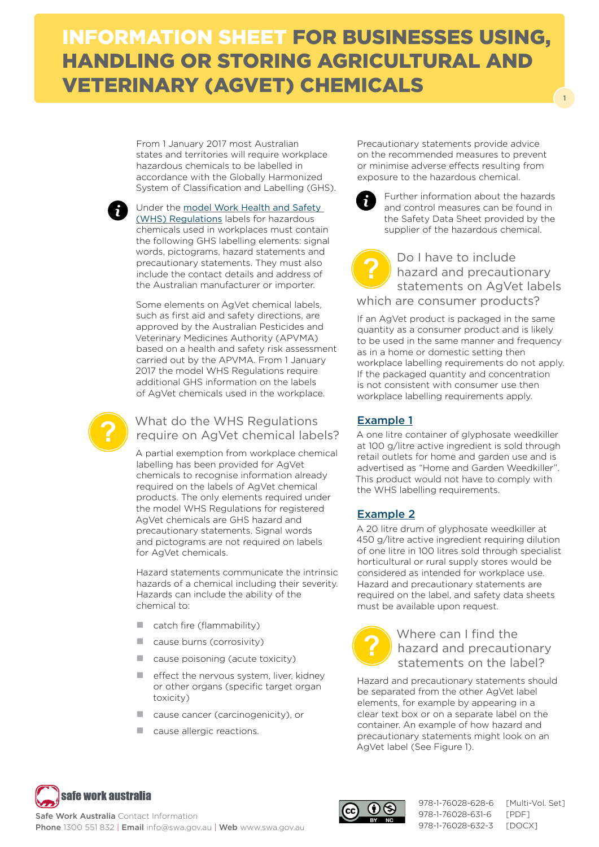# INFORMATION SHEET FOR BUSINESSES USING, HANDLING OR STORING AGRICULTURAL AND VETERINARY (AGVET) CHEMICALS

From 1 January 2017 most Australian states and territories will require workplace hazardous chemicals to be labelled in accordance with the Globally Harmonized System of Classification and Labelling (GHS).



Under the [model Work Health and Safety](http://www.safeworkaustralia.gov.au/sites/swa/about/publications/pages/model-whs-regulations)  [\(WHS\) Regulations](http://www.safeworkaustralia.gov.au/sites/swa/about/publications/pages/model-whs-regulations) labels for hazardous chemicals used in workplaces must contain the following GHS labelling elements: signal words, pictograms, hazard statements and precautionary statements. They must also include the contact details and address of the Australian manufacturer or importer.

Some elements on AgVet chemical labels, such as first aid and safety directions, are approved by the Australian Pesticides and Veterinary Medicines Authority (APVMA) based on a health and safety risk assessment carried out by the APVMA. From 1 January 2017 the model WHS Regulations require additional GHS information on the labels of AgVet chemicals used in the workplace.



## What do the WHS Regulations require on AgVet chemical labels?

A partial exemption from workplace chemical labelling has been provided for AgVet chemicals to recognise information already required on the labels of AgVet chemical products. The only elements required under the model WHS Regulations for registered AgVet chemicals are GHS hazard and precautionary statements. Signal words and pictograms are not required on labels for AgVet chemicals.

Hazard statements communicate the intrinsic hazards of a chemical including their severity. Hazards can include the ability of the chemical to:

- $\Box$  catch fire (flammability)
- cause burns (corrosivity)
- cause poisoning (acute toxicity)
- $\blacksquare$  effect the nervous system, liver, kidney or other organs (specific target organ toxicity)
- cause cancer (carcinogenicity), or
- cause allergic reactions.

Precautionary statements provide advice on the recommended measures to prevent or minimise adverse effects resulting from exposure to the hazardous chemical.



Further information about the hazards and control measures can be found in the Safety Data Sheet provided by the supplier of the hazardous chemical.

1

Do I have to include hazard and precautionary statements on AgVet labels which are consumer products? **?**

If an AgVet product is packaged in the same quantity as a consumer product and is likely to be used in the same manner and frequency as in a home or domestic setting then workplace labelling requirements do not apply. If the packaged quantity and concentration is not consistent with consumer use then workplace labelling requirements apply.

#### Example 1

A one litre container of glyphosate weedkiller at 100 g/litre active ingredient is sold through retail outlets for home and garden use and is advertised as "Home and Garden Weedkiller". This product would not have to comply with the WHS labelling requirements.

### Example 2

A 20 litre drum of glyphosate weedkiller at 450 g/litre active ingredient requiring dilution of one litre in 100 litres sold through specialist horticultural or rural supply stores would be considered as intended for workplace use. Hazard and precautionary statements are required on the label, and safety data sheets must be available upon request.



Where can I find the hazard and precautionary statements on the label?

Hazard and precautionary statements should be separated from the other AgVet label elements, for example by appearing in a clear text box or on a separate label on the container. An example of how hazard and precautionary statements might look on an AgVet label (See Figure 1).





978-1-76028-628-6 [Multi-Vol. Set] 978-1-76028-631-6 [PDF] 978-1-76028-632-3 [DOCX]